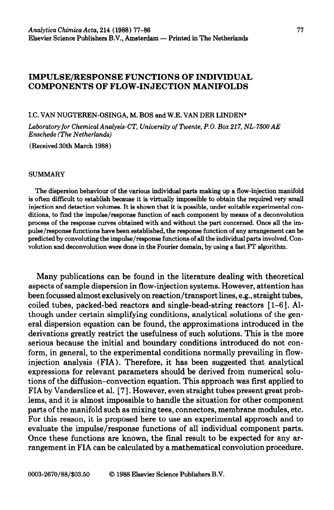# **IMPULSE/RESPONSE FUNCTIONS OF INDIVIDUAL COMPONENTS OF FLOW-INJECTION MANIFOLDS**

**I.C. VAN NUGTEREN-OSINGA, M. BOS and W.E. VAN DER LINDEN\*** 

*Laboratory for Chemical Analysis-CT, University of Twente, P.O. Box 217, NL-7500 AE Enschede (The Netherlands)* 

**(Received 30th March 1988)** 

#### **SUMMARY**

**The dispersion behaviour of the various individual parts making up a flow-injection manifold is often difficult to establish because it is virtually impossible to obtain the required very small injection and detection volumes. It is shown that it is possible, under suitable experimental conditions, to find the impulse/response function of each component by means of a deconvolution process of the response curves obtained with and without the part concerned. Once all the impulse/response functions have been established, the response function of any arrangement can be predicted by convoluting the impulse/response functions of all the individual parts involved. Convolution and deconvolution were done in the Fourier domain, by using a fast FT algorithm.** 

Many publications can be found in the literature dealing with theoretical aspects of sample dispersion in flow-injection systems. However, attention has been focussed almost exclusively on reaction/transport lines, e.g., straight tubes, coiled tubes, packed-bed reactors and single-bead-string reactors [l-6]. Although under certain simplifying conditions, analytical solutions of the general dispersion equation can be found, the approximations introduced in the derivations greatly restrict the usefulness of such solutions. This is the more serious because the initial and boundary conditions introduced do not conform, in general, to the experimental conditions normally prevailing in flowinjection analysis (FIA). Therefore, it has been suggested that analytical expressions for relevant parameters should be derived from numerical solutions of the diffusion-convection equation. This approach was first applied to FIA by Vanderslice et al. [ 71. However, even straight tubes present great problems, and it is almost impossible to handle the situation for other component parts of the manifold such as mixing tees, connectors, membrane modules, etc. For this reason, it is proposed here to use an experimental approach and to evaluate the impulse/response functions of all individual component parts. Once these functions are known, the final result to be expected for any arrangement in FIA can be calculated by a mathematical convolution procedure.

*0003-2670/88/\$03.50 0* **1988 Elsevier Science Publishers B.V.**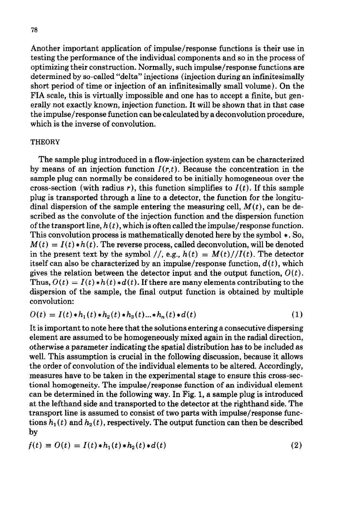Another important application of impulse/response functions is their use in testing the performance of the individual components and so in the process of optimizing their construction. Normally, such impulse/response functions are determined by so-called "delta" injections (injection during an infinitesimally short period of time or injection of an infinitesimally small volume). On the FIA scale, this is virtually impossible and one has to accept a finite, but generally not exactly known, injection function. It will be shown that in that case the impulse/response function can be calculated by a deconvolution procedure, which is the inverse of convolution.

## **THEORY**

The sample plug introduced in a flow-injection system can be characterized by means of an injection function  $I(r,t)$ . Because the concentration in the sample plug can normally be considered to be initially homogeneous over the cross-section (with radius r), this function simplifies to  $I(t)$ . If this sample plug is transported through a line to a detector, the function for the longitudinal dispersion of the sample entering the measuring cell,  $M(t)$ , can be described as the convolute of the injection function and the dispersion function of the transport line,  $h(t)$ , which is often called the impulse/response function. This convolution process is mathematically denoted here by the symbol \* . *So,*   $M(t) = I(t) * h(t)$ . The reverse process, called deconvolution, will be denoted in the present text by the symbol  $//$ , e.g.,  $h(t) = M(t)/I(t)$ . The detector itself can also be characterized by an impulse/response function,  $d(t)$ , which gives the relation between the detector input and the output function,  $O(t)$ . Thus,  $O(t) = I(t) * h(t) * d(t)$ . If there are many elements contributing to the dispersion of the sample, the final output function is obtained by multiple convolution:

$$
O(t) = I(t) * h_1(t) * h_2(t) * h_3(t) ... * h_n(t) * d(t)
$$
\n(1)

It is important to note here that the solutions entering a consecutive dispersing element are assumed to be homogeneously mixed again in the radial direction, otherwise a parameter indicating the spatial distribution has to be included as well. This assumption is crucial in the following discussion, because it allows the order of convolution of the individual elements to be altered. Accordingly, measures have to be taken in the experimental stage to ensure this cross-sectional homogeneity. The impulse/response function of an individual element can be determined in the following way. In Fig. 1, a sample plug is introduced at the lefthand side and transported to the detector at the righthand side. The transport line is assumed to consist of two parts with impulse/response functions  $h_1(t)$  and  $h_2(t)$ , respectively. The output function can then be described by

$$
f(t) \equiv O(t) = I(t) * h_1(t) * h_2(t) * d(t)
$$
\n(2)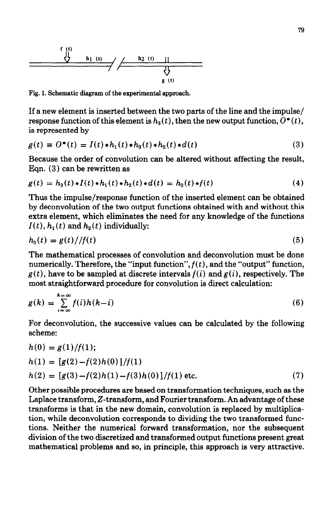

**Fig. 1. Schematic diagram of the experimental approach.** 

If a new element is inserted between the two parts of the line and the impulse/ response function of this element is  $h_3(t)$ , then the new output function,  $O^{\bullet}(t)$ , is represented by

$$
g(t) \equiv O^{\bullet}(t) = I(t) * h_1(t) * h_3(t) * h_2(t) * d(t)
$$
\n(3)

Because the order of convolution can be altered without affecting the result, Eqn. (3) can be rewritten as

$$
g(t) = h_3(t) * I(t) * h_1(t) * h_2(t) * d(t) = h_3(t) * f(t)
$$
\n(4)

Thus the impulse/response function of the inserted element can be obtained by deconvolution of the two output functions obtained with and without this extra element, which eliminates the need for any knowledge of the functions  $I(t)$ ,  $h_1(t)$  and  $h_2(t)$  individually:

$$
h_3(t) = g(t) // f(t)
$$
\n<sup>(5)</sup>

The mathematical processes of convolution and deconvolution must be done numerically. Therefore, the "input function",  $f(t)$ , and the "output" function,  $g(t)$ , have to be sampled at discrete intervals  $f(i)$  and  $g(i)$ , respectively. The most straightforward procedure for convolution is direct calculation:

$$
g(k) = \sum_{i=\infty}^{k=\infty} f(i)h(k-i)
$$
 (6)

For deconvolution, the successive values can be calculated by the following scheme:

$$
h(0) = g(1)/f(1);
$$
  
\n
$$
h(1) = [g(2) - f(2)h(0)]/f(1)
$$
  
\n
$$
h(2) = [g(3) - f(2)h(1) - f(3)h(0)]/f(1) \text{ etc.}
$$
\n(7)

Other possible procedures are based on transformation techniques, such as the Laplace transform, Z-transform, and Fourier transform. An advantage of these transforms is that in the new domain, convolution is replaced by multiplication, while deconvolution corresponds to dividing the two transformed functions. Neither the numerical forward transformation, nor the subsequent division of the two discretized and transformed output functions present great mathematical problems and so, in principle, this approach is very attractive.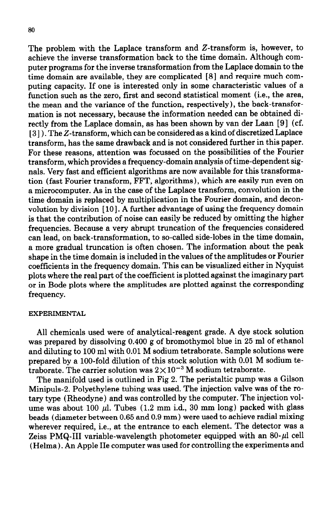The problem with the Laplace transform and Z-transform is, however, to achieve the inverse transformation back to the time domain. Although computer programs for the inverse transformation from the Laplace domain to the time domain are available, they are complicated [8] and require much computing capacity. If one is interested only in some characteristic values of a function such as the zero, first and second statistical moment (i.e., the area, the mean and the variance of the function, respectively), the back-transformation is not necessary, because the information needed can be obtained directly from the Laplace domain, as has been shown by van der Laan [9] (cf. [ 31). The Z-transform, which can be considered as a kind of discretized Laplace transform, has the same drawback and is not considered further in this paper. For these reasons, attention was focussed on the possibilities of the Fourier transform, which provides a frequency-domain analysis of time-dependent signals. Very fast and efficient algorithms are now available for this transformation (fast Fourier transform, FFT, algorithms), which are easily run even on a microcomputer. As in the case of the Laplace transform, convolution in the time domain is replaced by multiplication in the Fourier domain, and deconvolution by division [10]. A further advantage of using the frequency domain is that the contribution of noise can easily be reduced by omitting the higher frequencies. Because a very abrupt truncation of the frequencies considered can lead, on back-transformation, to so-called side-lobes in the time domain, a more gradual truncation is often chosen. The information about the peak shape in the time domain is included in the values of the amplitudes or Fourier coefficients in the frequency domain. This can be visualized either in Nyquist plots where the real part of the coefficient is plotted against the imaginary part or in Bode plots where the amplitudes are plotted against the corresponding frequency.

### EXPERIMENTAL

All chemicals used were of analytical-reagent grade. A dye stock solution was prepared by dissolving 0.400 g of bromothymol blue in 25 ml of ethanol and diluting to 100 ml with 0.01 M sodium tetraborate. Sample solutions were prepared by a 100-fold dilution of this stock solution with 0.01 M sodium tetraborate. The carrier solution was  $2 \times 10^{-3}$  M sodium tetraborate.

The manifold used is outlined in Fig 2. The peristaltic pump was a Gilson Minipuls-2. Polyethylene tubing was used. The injection valve was of the rotary type (Rheodyne) and was controlled by the computer. The injection volume was about 100  $\mu$ l. Tubes (1.2 mm i.d., 30 mm long) packed with glass beads (diameter between 0.65 and 0.9 mm) were used to achieve radial mixing wherever required, i.e., at the entrance to each element. The detector was a Zeiss PMQ-III variable-wavelength photometer equipped with an  $80$ - $\mu$ l cell (Helma). An Apple IIe computer was used for controlling the experiments and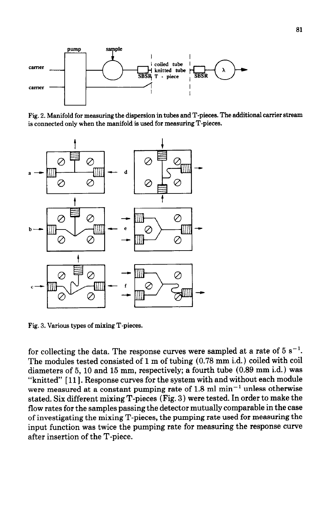

**Fig. 2. Manifold for measuring the dispersion in tubes and T-pieces. The additional carrier stream is connected only when the manifold is used for measuring T-pieces.** 



**Fig. 3. Various types of mixing T-pieces.** 

for collecting the data. The response curves were sampled at a rate of  $5 \text{ s}^{-1}$ . The modules tested consisted of 1 m of tubing (0.78 mm i.d.) coiled with coil diameters of 5, 10 and 15 mm, respectively; a fourth tube (0.89 mm i.d.) was "knitted" [ 111. Response curves for the system with and without each module were measured at a constant pumping rate of 1.8 ml min<sup>-1</sup> unless otherwise stated. Six different mixing T-pieces (Fig. 3 ) were tested. In order to make the flow rates for the samples passing the detector mutually comparable in the case of investigating the mixing T-pieces, the pumping rate used for measuring the input function was twice the pumping rate for measuring the response curve after insertion of the T-piece.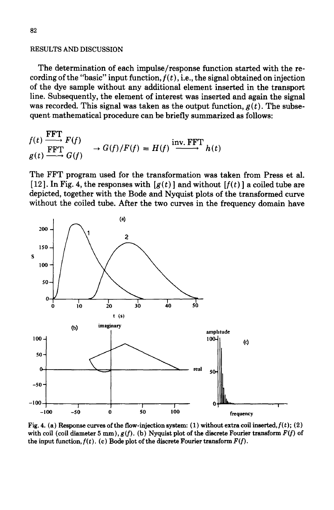#### **RESULTS AND DISCUSSION**

The determination of each impulse/response function started with the recording of the "basic" input function,  $f(t)$ , i.e., the signal obtained on injection of the dye sample without any additional element inserted in the transport line. Subsequently, the element of interest was inserted and again the signal was recorded. This signal was taken as the output function,  $g(t)$ . The subsequent mathematical procedure can be briefly summarized as follows:

$$
f(t) \xrightarrow{\text{FFT}} F(f) \qquad \to G(f)/F(f) = H(f) \xrightarrow{\text{inv. FFT}} h(t)
$$

The FFT program used for the transformation was taken from Press et al. [12]. In Fig. 4, the responses with  $[g(t)]$  and without  $[f(t)]$  a coiled tube are depicted, together with the Bode and Nyquist plots of the transformed curve without the coiled tube. After the two curves in the frequency domain have



Fig. 4. (a) Response curves of the flow-injection system: (1) without extra coil inserted,  $f(t)$ ; (2) with coil (coil diameter 5 mm),  $g(f)$ . (b) Nyquist plot of the discrete Fourier transform  $F(f)$  of the input function,  $f(t)$ . (c) Bode plot of the discrete Fourier transform  $F(f)$ .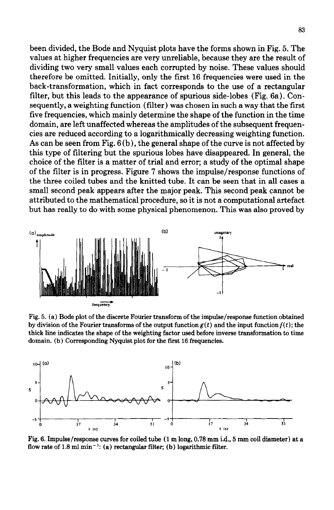been divided, the Bode and Nyquist plots have the forms shown in Fig. 5. The values at higher frequencies are very unreliable, because they are the result of dividing two very small values each corrupted by noise. These values should therefore be omitted. Initially, only the first 16 frequencies were used in the back-transformation, which in fact corresponds to the use of a rectangular filter, but this leads to the appearance of spurious side-lobes (Fig. 6a). Consequently, a weighting function (filter) was chosen in such a way that the first five frequencies, which mainly determine the shape of the function in the time domain, are left unaffected whereas the amplitudes of the subsequent frequencies are reduced according to a logarithmically decreasing weighting function. As can be seen from Fig.  $6(b)$ , the general shape of the curve is not affected by this type of filtering but the spurious lobes have disappeared. In general, the choice of the filter is a matter of trial and error; a study of the optimal shape of the filter is in progress. Figure 7 shows the impulse/response functions of the three coiled tubes and the knitted tube. It can be seen that in all cases a small second peak appears after the major peak. This second peak cannot be attributed to the mathematical procedure, so it is not a computational artefact but has really to do with some physical phenomenon. This was also proved by



**Fig. 5. (a) Bode plot of the discrete Fourier transform of the impulse/response function obtained**  by division of the Fourier transforms of the output function  $g(t)$  and the input function  $f(t)$ ; the **thick line indicates the shape of the weighting factor used before inverse transformation to time domain. (b) Corresponding Nyquist plot for the first 16 frequencies.** 



**Fig. 6. Impulse/response curves for coiled tube (1 m long, 0.78 mm i.d., 5 mm coil diameter) at a flow rate of 1.8 ml min-': (a) rectangular filter; (b) logarithmic filter.**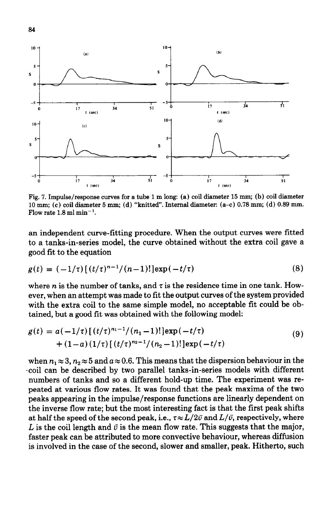

**Fig. 7. Impulse/response curves for a tube 1 m long: (a) coil diameter 15 mm; (b) coil diameter 10 mm; (c) coil diameter 5 mm; (d) "knitted". Internal diameter: (a-c) 0.78 mm; (d) 0.89 mm.**  Flow rate  $1.8$  ml min<sup>-1</sup>.

an independent curve-fitting procedure. When the output curves were fitted to a tanks-in-series model, the curve obtained without the extra coil gave a good fit to the equation

$$
g(t) = (-1/\tau) [(t/\tau)^{n-1}/(n-1)!] \exp(-t/\tau)
$$
\n(8)

where  $n$  is the number of tanks, and  $\tau$  is the residence time in one tank. However, when an attempt was made to fit the output curves of the system provided with the extra coil to the same simple model, no acceptable fit could be obtained, but a good fit was obtained with the following model:

$$
g(t) = a(-1/\tau) \left[ (t/\tau)^{n_1-1} / (n_1-1)! \right] \exp(-t/\tau)
$$
  
+ (1-a) (1/\tau) \left[ (t/\tau)^{n\_2-1} / (n\_2-1)! \right] \exp(-t/\tau) (9)

when  $n_1 \approx 3$ ,  $n_2 \approx 5$  and  $a \approx 0.6$ . This means that the dispersion behaviour in the .coil can be described by two parallel tanks-in-series models with different numbers of tanks and so a different hold-up time. The experiment was repeated at various flow rates. It was found that the peak maxima of the two peaks appearing in the impulse/response functions are linearly dependent on the inverse flow rate; but the most interesting fact is that the first peak shifts at half the speed of the second peak, i.e.,  $\tau \approx L/2\bar{v}$  and  $L/\bar{v}$ , respectively, where  $L$  is the coil length and  $\bar{v}$  is the mean flow rate. This suggests that the major, faster peak can be attributed to more convective behaviour, whereas diffusion is involved in the case of the second, slower and smaller, peak. Hitherto, such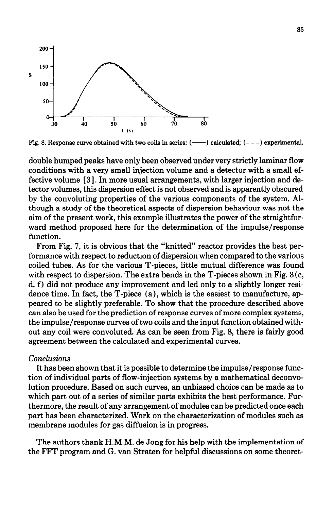

Fig. 8. Response curve obtained with two coils in series:  $($ —— $)$  calculated;  $(- - )$  experimental.

double humped peaks have only been observed under very strictly laminar flow conditions with a very small injection volume and a detector with a small effective volume [ 31. In more usual arrangements, with larger injection and detector volumes, this dispersion effect is not observed and is apparently obscured by the convoluting properties of the various components of the system. Although a study of the theoretical aspects of dispersion behaviour was not the aim of the present work, this example illustrates the power of the straightforward method proposed here for the determination of the impulse/response function.

From Fig. 7, it is obvious that the "knitted" reactor provides the best performance with respect to reduction of dispersion when compared to the various coiled tubes. As for the various T-pieces, little mutual difference was found with respect to dispersion. The extra bends in the  $T$ -pieces shown in Fig.  $3(c,$ d, f) did not produce any improvement and led only to a slightly longer residence time. In fact, the T-piece (a), which is the easiest to manufacture, appeared to be slightly preferable. To show that the procedure described above can also be used for the prediction of response curves of more complex systems, the impulse/response curves of two coils and the input function obtained without any coil were convoluted. As can be seen from Fig. 8, there is fairly good agreement between the calculated and experimental curves.

## *Conclusions*

It has been shown that it is possible to determine the impulse/response function of individual parts of flow-injection systems by a mathematical deconvolution procedure. Based on such curves, an unbiased choice can be made as to which part out of a series of similar parts exhibits the best performance. Furthermore, the result of any arrangement of modules can be predicted once each part has been characterized. Work on the characterization of modules such as membrane modules for gas diffusion is in progress.

The authors thank H.M.M. de Jong for his help with the implementation of the FFT program and G. van Straten for helpful discussions on some theoret